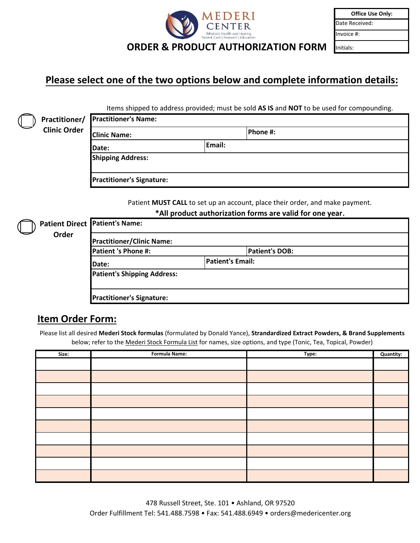

| <b>Office Use Only:</b> |  |
|-------------------------|--|
| Date Received:          |  |
| Invoice #:              |  |
| nitials:                |  |

## **Please select one of the two options below and complete information details:**

Items shipped to address provided; must be sold **AS IS** and **NOT** to be used for compounding.

(

|                     | Practitioner/ Practitioner's Name: |        |          |
|---------------------|------------------------------------|--------|----------|
| <b>Clinic Order</b> | <b>Clinic Name:</b>                |        | Phone #: |
|                     | <b>IDate:</b>                      | Email: |          |
|                     | <b>Shipping Address:</b>           |        |          |
|                     | <b>Practitioner's Signature:</b>   |        |          |

Patient **MUST CALL** to set up an account, place their order, and make payment. **\*All product authorization forms are valid for one year.**

| <b>Practitioner/Clinic Name:</b>   |                       |                  |
|------------------------------------|-----------------------|------------------|
|                                    | <b>Patient's DOB:</b> |                  |
|                                    |                       |                  |
| <b>Patient's Shipping Address:</b> |                       |                  |
|                                    |                       |                  |
| <b>Practitioner's Signature:</b>   |                       |                  |
|                                    |                       | Patient's Email: |

## **Item Order Form:**

Please list all desired **Mederi Stock formulas** (formulated by Donald Yance), **Strandardized Extract Powders, & Brand Supplements**  below; refer to the Mederi Stock Formula List for names, size options, and type (Tonic, Tea, Topical, Powder)

| Size: | <b>Formula Name:</b> | Type: | <b>Quantity:</b> |
|-------|----------------------|-------|------------------|
|       |                      |       |                  |
|       |                      |       |                  |
|       |                      |       |                  |
|       |                      |       |                  |
|       |                      |       |                  |
|       |                      |       |                  |
|       |                      |       |                  |
|       |                      |       |                  |
|       |                      |       |                  |
|       |                      |       |                  |